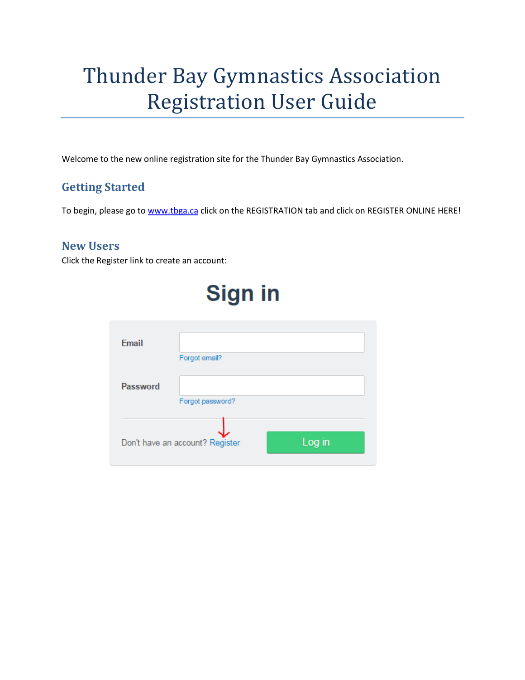# Thunder Bay Gymnastics Association Registration User Guide

Welcome to the new online registration site for the Thunder Bay Gymnastics Association.

## **Getting Started**

To begin, please go to [www.tbga.ca](http://www.tbga.ca/) click on the REGISTRATION tab and click on REGISTER ONLINE HERE!

### **New Users**

Click the Register link to create an account:

# **Sign in** Email Forgot email? Password Forgot password? Log in Don't have an account? Register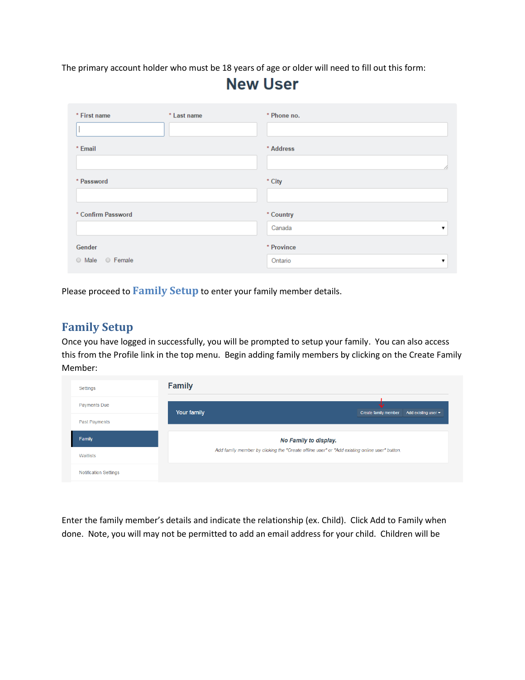The primary account holder who must be 18 years of age or older will need to fill out this form:

## **New User**

| * First name       | * Last name | * Phone no.   |
|--------------------|-------------|---------------|
| * Email            |             | * Address     |
|                    |             | 4             |
| * Password         |             | * City        |
|                    |             |               |
| * Confirm Password |             | * Country     |
|                    |             | Canada<br>▼   |
| Gender             |             | * Province    |
| O Male O Female    |             | Ontario<br>ν. |

Please proceed to **Family Setup** to enter your family member details.

### **Family Setup**

Once you have logged in successfully, you will be prompted to setup your family. You can also access this from the Profile link in the top menu. Begin adding family members by clicking on the Create Family Member:

| Settings                     | <b>Family</b> |                                                                                               |  |  |  |  |
|------------------------------|---------------|-----------------------------------------------------------------------------------------------|--|--|--|--|
| <b>Payments Due</b>          | Your family   | <b>Create family member</b><br>Add existing user $\blacktriangledown$                         |  |  |  |  |
| Past Payments                |               |                                                                                               |  |  |  |  |
| Family                       |               | No Family to display.                                                                         |  |  |  |  |
| Waitlists                    |               | Add family member by clicking the "Create offline user" or "Add existing online user" button. |  |  |  |  |
| <b>Notification Settings</b> |               |                                                                                               |  |  |  |  |

Enter the family member's details and indicate the relationship (ex. Child). Click Add to Family when done. Note, you will may not be permitted to add an email address for your child. Children will be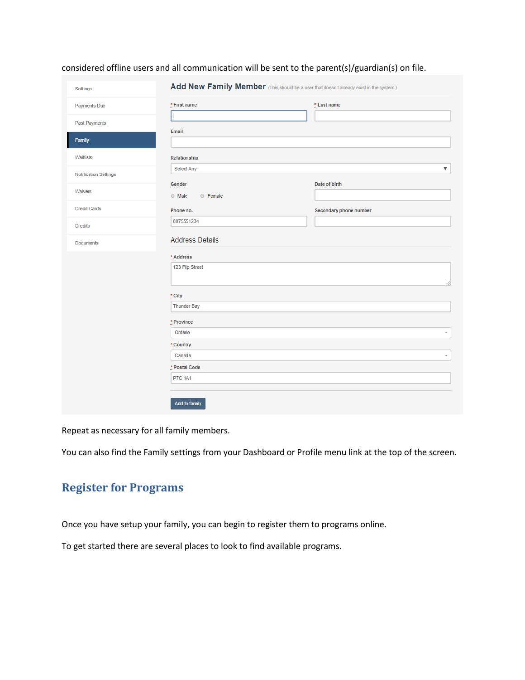#### considered offline users and all communication will be sent to the parent(s)/guardian(s) on file.

| Settings                     | Add New Family Member (This should be a user that doesn't already exist in the system.) |                          |
|------------------------------|-----------------------------------------------------------------------------------------|--------------------------|
| <b>Payments Due</b>          | $*$ First name                                                                          | * Last name              |
| <b>Past Payments</b>         |                                                                                         |                          |
| Family                       | Email                                                                                   |                          |
| Waitlists                    | Relationship                                                                            |                          |
| <b>Notification Settings</b> | Select Any                                                                              | ▼                        |
| Waivers                      | Gender<br>$\odot$ Male<br>© Female                                                      | Date of birth            |
| <b>Credit Cards</b>          | Phone no.                                                                               | Secondary phone number   |
| Credits                      | 8075551234                                                                              |                          |
| <b>Documents</b>             | <b>Address Details</b>                                                                  |                          |
|                              | * Address                                                                               |                          |
|                              | 123 Flip Street                                                                         | 4                        |
|                              | * City                                                                                  |                          |
|                              | <b>Thunder Bay</b>                                                                      |                          |
|                              | $*$ Province                                                                            |                          |
|                              | Ontario                                                                                 | $\overline{\phantom{a}}$ |
|                              | * Country                                                                               |                          |
|                              | Canada                                                                                  | $\overline{\phantom{a}}$ |
|                              | * Postal Code                                                                           |                          |
|                              | <b>P7C 1A1</b>                                                                          |                          |
|                              | <b>Add to family</b>                                                                    |                          |

Repeat as necessary for all family members.

You can also find the Family settings from your Dashboard or Profile menu link at the top of the screen.

## **Register for Programs**

Once you have setup your family, you can begin to register them to programs online.

To get started there are several places to look to find available programs.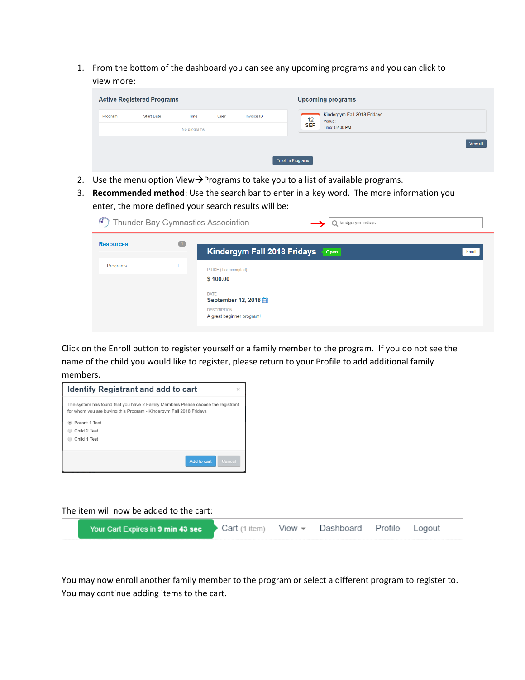1. From the bottom of the dashboard you can see any upcoming programs and you can click to view more:

| <b>Active Registered Programs</b> |                   |                     |             |            | <b>Upcoming programs</b>                                                         |
|-----------------------------------|-------------------|---------------------|-------------|------------|----------------------------------------------------------------------------------|
| Program                           | <b>Start Date</b> | Time<br>No programs | <b>User</b> | Invoice ID | Kindergym Fall 2018 Fridays<br>$rac{12}{\text{SEP}}$<br>Venue:<br>Time: 02:00 PM |
|                                   |                   |                     |             |            | View all<br><b>Enroll In Programs</b>                                            |

- 2. Use the menu option View $\rightarrow$ Programs to take you to a list of available programs.
- 3. **Recommended method**: Use the search bar to enter in a key word. The more information you enter, the more defined your search results will be:

| 921              |                | Thunder Bay Gymnastics Association<br>Q kindgerym fridays                                                                             |
|------------------|----------------|---------------------------------------------------------------------------------------------------------------------------------------|
| <b>Resources</b> | $\blacksquare$ | Kindergym Fall 2018 Fridays<br>Open<br>Enroll                                                                                         |
| Programs         |                | PRICE (Tax exempted)<br>\$100.00<br><b>DATE</b><br>September 12, 2018 <sub>前</sub><br><b>DESCRIPTION</b><br>A great beginner program! |

Click on the Enroll button to register yourself or a family member to the program. If you do not see the name of the child you would like to register, please return to your Profile to add additional family members.

| <b>Identify Registrant and add to cart</b>                                                                                                             |        |
|--------------------------------------------------------------------------------------------------------------------------------------------------------|--------|
| The system has found that you have 2 Family Members Please choose the registrant<br>for whom you are buying this Program - Kindergym Fall 2018 Fridays |        |
| Parent 1 Test                                                                                                                                          |        |
| Child 2 Test                                                                                                                                           |        |
| Child 1 Test                                                                                                                                           |        |
|                                                                                                                                                        |        |
| Add to cart                                                                                                                                            | Cancel |
|                                                                                                                                                        |        |

The item will now be added to the cart:

| Your Cart Expires in 9 min 43 sec | Cart (1 item) View · Dashboard Profile Logout |  |  |  |
|-----------------------------------|-----------------------------------------------|--|--|--|
|                                   |                                               |  |  |  |

You may now enroll another family member to the program or select a different program to register to. You may continue adding items to the cart.